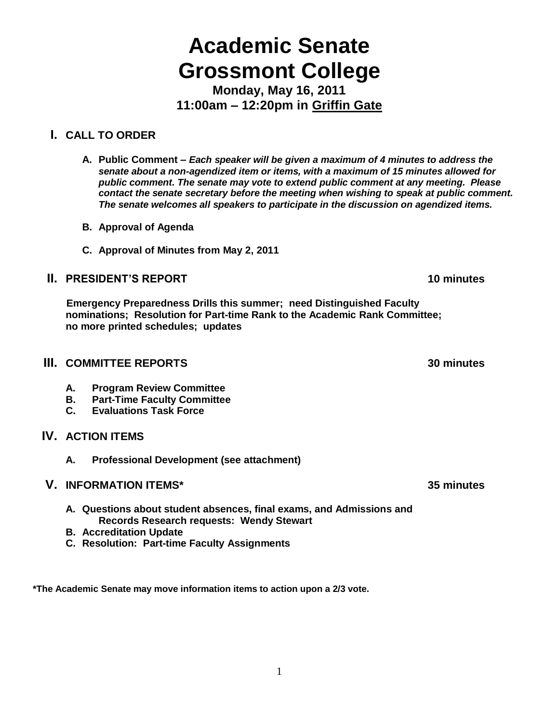# **Academic Senate Grossmont College**

**Monday, May 16, 2011 11:00am – 12:20pm in Griffin Gate**

# **I. CALL TO ORDER**

- **A. Public Comment –** *Each speaker will be given a maximum of 4 minutes to address the senate about a non-agendized item or items, with a maximum of 15 minutes allowed for public comment. The senate may vote to extend public comment at any meeting. Please contact the senate secretary before the meeting when wishing to speak at public comment. The senate welcomes all speakers to participate in the discussion on agendized items.*
- **B. Approval of Agenda**
- **C. Approval of Minutes from May 2, 2011**

# **II. PRESIDENT'S REPORT 10 minutes**

 **Emergency Preparedness Drills this summer; need Distinguished Faculty nominations; Resolution for Part-time Rank to the Academic Rank Committee; no more printed schedules; updates**

## **III. COMMITTEE REPORTS 30 minutes**

- **A. Program Review Committee**
- **B. Part-Time Faculty Committee**
- **C. Evaluations Task Force**

# **IV. ACTION ITEMS**

**A. Professional Development (see attachment)**

## **V. INFORMATION ITEMS\* 35 minutes**

- **A. Questions about student absences, final exams, and Admissions and Records Research requests: Wendy Stewart**
- **B. Accreditation Update**
- **C. Resolution: Part-time Faculty Assignments**

**\*The Academic Senate may move information items to action upon a 2/3 vote.**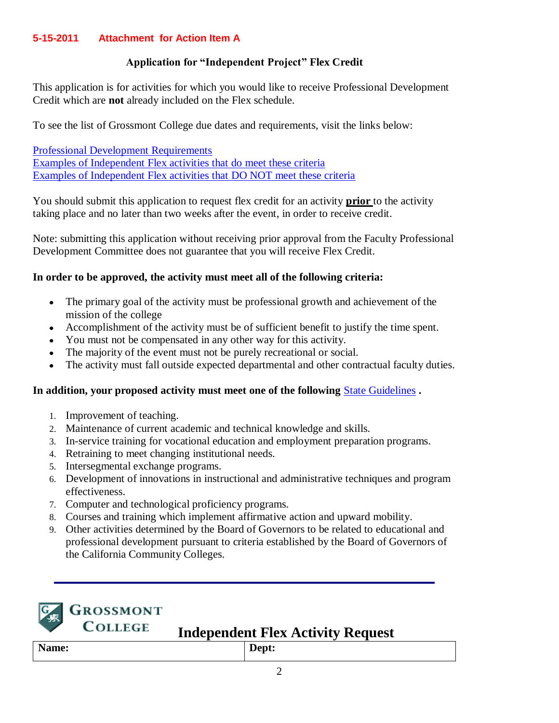## **5-15-2011 Attachment for Action Item A**

#### **Application for "Independent Project" Flex Credit**

This application is for activities for which you would like to receive Professional Development Credit which are **not** already included on the Flex schedule.

To see the list of Grossmont College due dates and requirements, visit the links below:

[Professional Development Requirements](http://www.grossmont.edu/staffdevelop/profdevreq.asp) Examples of Independent Flex activities that do meet these criteria Examples of Independent Flex activities that DO NOT meet these criteria

You should submit this application to request flex credit for an activity **prior** to the activity taking place and no later than two weeks after the event, in order to receive credit.

Note: submitting this application without receiving prior approval from the Faculty Professional Development Committee does not guarantee that you will receive Flex Credit.

#### **In order to be approved, the activity must meet all of the following criteria:**

- The primary goal of the activity must be professional growth and achievement of the mission of the college
- Accomplishment of the activity must be of sufficient benefit to justify the time spent.
- You must not be compensated in any other way for this activity.
- The majority of the event must not be purely recreational or social.
- The activity must fall outside expected departmental and other contractual faculty duties.

#### **In addition, your proposed activity must meet one of the following** [State Guidelines](http://www.cccco.edu/Portals/4/AA/Flexible%20Calendar/Flex_Calendar_Guidelines_04-07.docx.pdf) **.**

- 1. Improvement of teaching.
- 2. Maintenance of current academic and technical knowledge and skills.
- 3. In-service training for vocational education and employment preparation programs.
- 4. Retraining to meet changing institutional needs.
- 5. Intersegmental exchange programs.
- 6. Development of innovations in instructional and administrative techniques and program effectiveness.
- 7. Computer and technological proficiency programs.
- 8. Courses and training which implement affirmative action and upward mobility.
- 9. Other activities determined by the Board of Governors to be related to educational and professional development pursuant to criteria established by the Board of Governors of the California Community Colleges.



# **GROSSMONT COLLEGE**

# **Independent Flex Activity Request**

|       | ____ |            | ___ | ---------- |  |
|-------|------|------------|-----|------------|--|
| Name: |      | Dept:<br>- |     |            |  |
|       |      |            |     |            |  |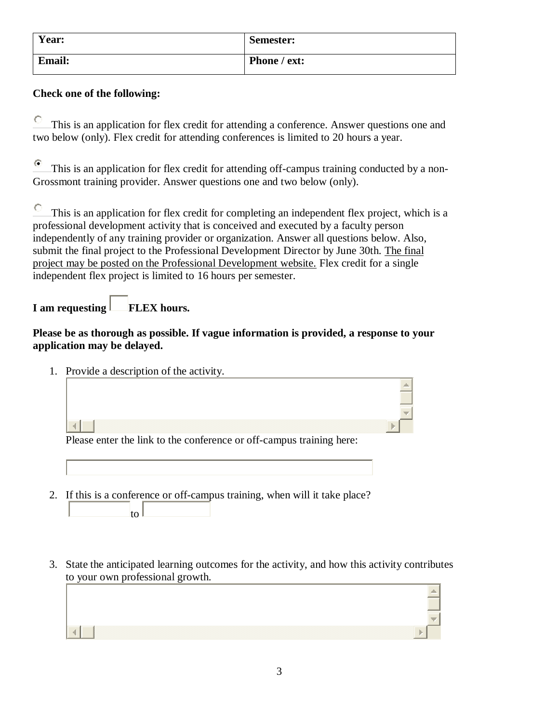| Year:         | <b>Semester:</b> |
|---------------|------------------|
| <b>Email:</b> | Phone / ext:     |

# **Check one of the following:**

O This is an application for flex credit for attending a conference. Answer questions one and two below (only). Flex credit for attending conferences is limited to 20 hours a year.

О This is an application for flex credit for attending off-campus training conducted by a non-Grossmont training provider. Answer questions one and two below (only).

O This is an application for flex credit for completing an independent flex project, which is a professional development activity that is conceived and executed by a faculty person independently of any training provider or organization. Answer all questions below. Also, submit the final project to the Professional Development Director by June 30th. The final project may be posted on the Professional Development website. Flex credit for a single independent flex project is limited to 16 hours per semester.

# **I** am requesting **FLEX** hours.

### **Please be as thorough as possible. If vague information is provided, a response to your application may be delayed.**

1. Provide a description of the activity.

Please enter the link to the conference or off-campus training here:

- 2. If this is a conference or off-campus training, when will it take place?
	- to |
- 3. State the anticipated learning outcomes for the activity, and how this activity contributes to your own professional growth.

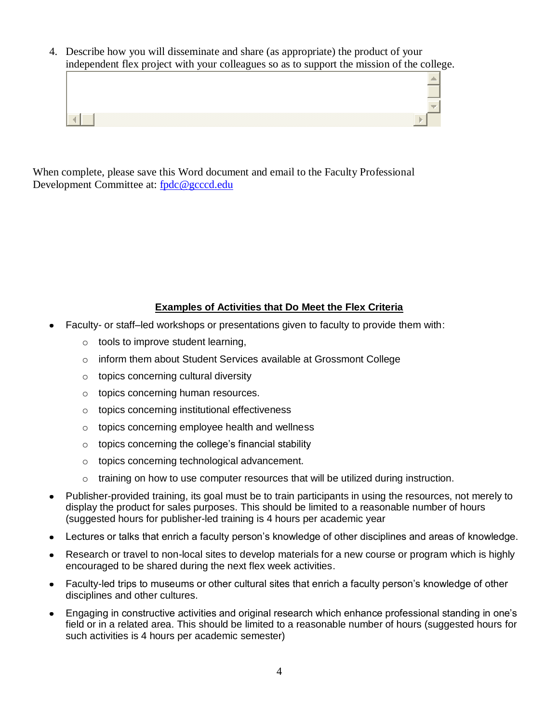4. Describe how you will disseminate and share (as appropriate) the product of your independent flex project with your colleagues so as to support the mission of the college.



When complete, please save this Word document and email to the Faculty Professional Development Committee at: [fpdc@gcccd.edu](mailto:fpdc@gcccd.edu)

## **Examples of Activities that Do Meet the Flex Criteria**

- Faculty- or staff–led workshops or presentations given to faculty to provide them with:
	- o tools to improve student learning,
	- o inform them about Student Services available at Grossmont College
	- o topics concerning cultural diversity
	- o topics concerning human resources.
	- o topics concerning institutional effectiveness
	- o topics concerning employee health and wellness
	- o topics concerning the college's financial stability
	- o topics concerning technological advancement.
	- $\circ$  training on how to use computer resources that will be utilized during instruction.
- Publisher-provided training, its goal must be to train participants in using the resources, not merely to display the product for sales purposes. This should be limited to a reasonable number of hours (suggested hours for publisher-led training is 4 hours per academic year
- Lectures or talks that enrich a faculty person's knowledge of other disciplines and areas of knowledge.
- Research or travel to non-local sites to develop materials for a new course or program which is highly encouraged to be shared during the next flex week activities.
- Faculty-led trips to museums or other cultural sites that enrich a faculty person's knowledge of other disciplines and other cultures.
- Engaging in constructive activities and original research which enhance professional standing in one's  $\bullet$ field or in a related area. This should be limited to a reasonable number of hours (suggested hours for such activities is 4 hours per academic semester)